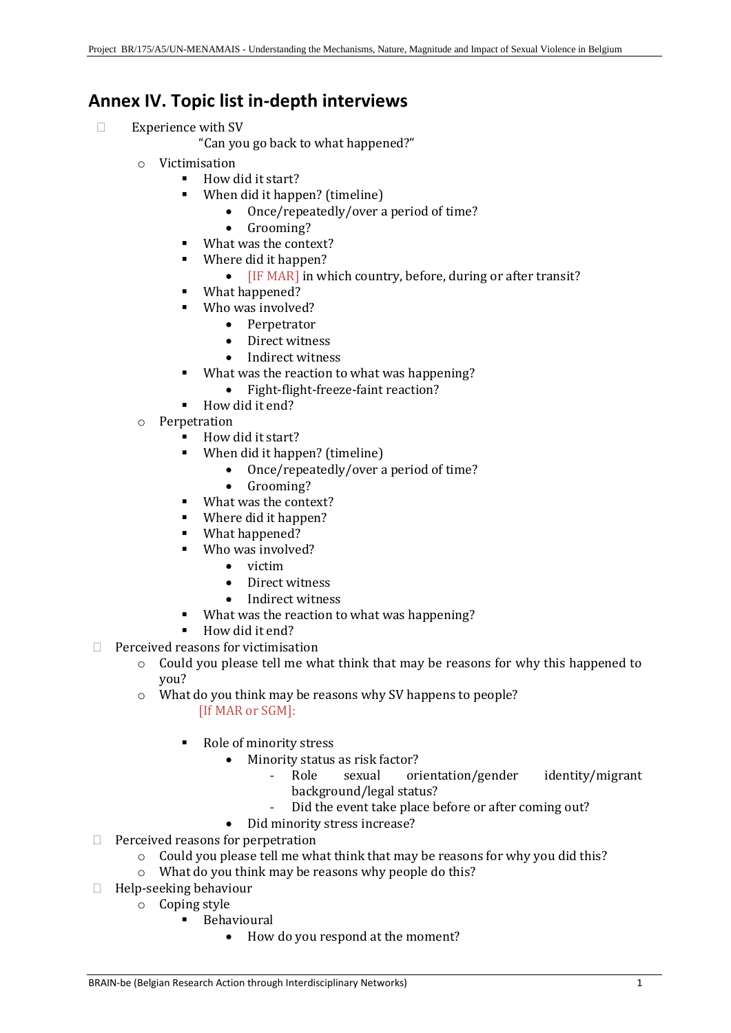## **Annex IV. Topic list in-depth interviews**

- $\square$  Experience with SV
	- "Can you go back to what happened?"
	- o Victimisation
		- How did it start?
		- When did it happen? (timeline)
			- Once/repeatedly/over a period of time?
			- Grooming?
		- What was the context?
		- Where did it happen?
			- **IF MAR** in which country, before, during or after transit?
			- What happened?
		- Who was involved?
			- Perpetrator
			- Direct witness
			- Indirect witness
		- What was the reaction to what was happening?
			- Fight-flight-freeze-faint reaction?
		- How did it end?
	- o Perpetration
		- How did it start?
		- When did it happen? (timeline)
			- Once/repeatedly/over a period of time?
			- Grooming?
		- What was the context?
		- Where did it happen?
		- What happened?
		- Who was involved?
			- victim
			- Direct witness
			- Indirect witness
		- What was the reaction to what was happening?
		- How did it end?
- $\Box$  Perceived reasons for victimisation
	- o Could you please tell me what think that may be reasons for why this happened to you?
	- o What do you think may be reasons why SV happens to people? [If MAR or SGM]:
		- Role of minority stress
			- Minority status as risk factor?
				- Role sexual orientation/gender identity/migrant background/legal status?
				- Did the event take place before or after coming out?
			- Did minority stress increase?
- $\Box$  Perceived reasons for perpetration
	- o Could you please tell me what think that may be reasons for why you did this?
	- o What do you think may be reasons why people do this?
- $\Box$  Help-seeking behaviour
	- o Coping style
		- **■** Behavioural
			- How do you respond at the moment?